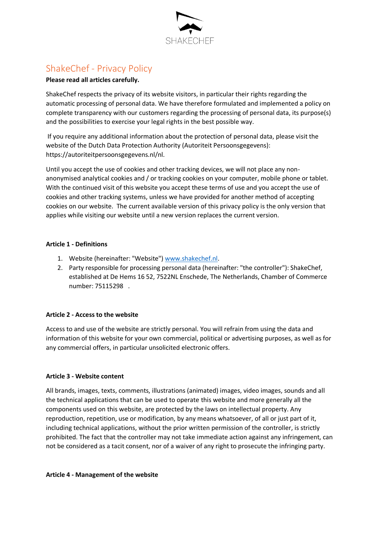

# ShakeChef - Privacy Policy

# **Please read all articles carefully.**

ShakeChef respects the privacy of its website visitors, in particular their rights regarding the automatic processing of personal data. We have therefore formulated and implemented a policy on complete transparency with our customers regarding the processing of personal data, its purpose(s) and the possibilities to exercise your legal rights in the best possible way.

If you require any additional information about the protection of personal data, please visit the website of the Dutch Data Protection Authority (Autoriteit Persoonsgegevens): https://autoriteitpersoonsgegevens.nl/nl.

Until you accept the use of cookies and other tracking devices, we will not place any nonanonymised analytical cookies and / or tracking cookies on your computer, mobile phone or tablet. With the continued visit of this website you accept these terms of use and you accept the use of cookies and other tracking systems, unless we have provided for another method of accepting cookies on our website. The current available version of this privacy policy is the only version that applies while visiting our website until a new version replaces the current version.

# **Article 1 - Definitions**

- 1. Website (hereinafter: "Website"[\) www.shakechef.nl.](http://www.shakechef.nl/)
- 2. Party responsible for processing personal data (hereinafter: "the controller"): ShakeChef, established at De Hems 16 52, 7522NL Enschede, The Netherlands, Chamber of Commerce number: 75115298 .

# **Article 2 - Access to the website**

Access to and use of the website are strictly personal. You will refrain from using the data and information of this website for your own commercial, political or advertising purposes, as well as for any commercial offers, in particular unsolicited electronic offers.

# **Article 3 - Website content**

All brands, images, texts, comments, illustrations (animated) images, video images, sounds and all the technical applications that can be used to operate this website and more generally all the components used on this website, are protected by the laws on intellectual property. Any reproduction, repetition, use or modification, by any means whatsoever, of all or just part of it, including technical applications, without the prior written permission of the controller, is strictly prohibited. The fact that the controller may not take immediate action against any infringement, can not be considered as a tacit consent, nor of a waiver of any right to prosecute the infringing party.

#### **Article 4 - Management of the website**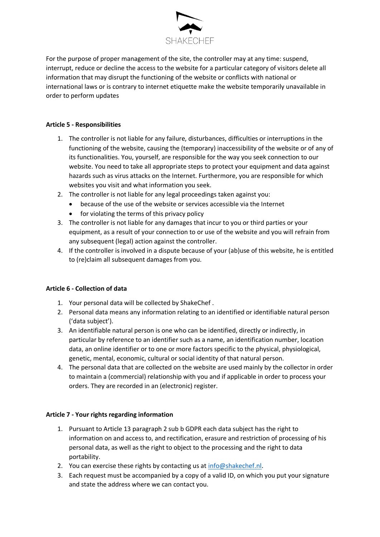

For the purpose of proper management of the site, the controller may at any time: suspend, interrupt, reduce or decline the access to the website for a particular category of visitors delete all information that may disrupt the functioning of the website or conflicts with national or international laws or is contrary to internet etiquette make the website temporarily unavailable in order to perform updates

# **Article 5 - Responsibilities**

- 1. The controller is not liable for any failure, disturbances, difficulties or interruptions in the functioning of the website, causing the (temporary) inaccessibility of the website or of any of its functionalities. You, yourself, are responsible for the way you seek connection to our website. You need to take all appropriate steps to protect your equipment and data against hazards such as virus attacks on the Internet. Furthermore, you are responsible for which websites you visit and what information you seek.
- 2. The controller is not liable for any legal proceedings taken against you:
	- because of the use of the website or services accessible via the Internet
	- for violating the terms of this privacy policy
- 3. The controller is not liable for any damages that incur to you or third parties or your equipment, as a result of your connection to or use of the website and you will refrain from any subsequent (legal) action against the controller.
- 4. If the controller is involved in a dispute because of your (ab)use of this website, he is entitled to (re)claim all subsequent damages from you.

# **Article 6 - Collection of data**

- 1. Your personal data will be collected by ShakeChef .
- 2. Personal data means any information relating to an identified or identifiable natural person ('data subject').
- 3. An identifiable natural person is one who can be identified, directly or indirectly, in particular by reference to an identifier such as a name, an identification number, location data, an online identifier or to one or more factors specific to the physical, physiological, genetic, mental, economic, cultural or social identity of that natural person.
- 4. The personal data that are collected on the website are used mainly by the collector in order to maintain a (commercial) relationship with you and if applicable in order to process your orders. They are recorded in an (electronic) register.

# **Article 7 - Your rights regarding information**

- 1. Pursuant to Article 13 paragraph 2 sub b GDPR each data subject has the right to information on and access to, and rectification, erasure and restriction of processing of his personal data, as well as the right to object to the processing and the right to data portability.
- 2. You can exercise these rights by contacting us at [info@shakechef.nl.](mailto:info@shakechef.nl)
- 3. Each request must be accompanied by a copy of a valid ID, on which you put your signature and state the address where we can contact you.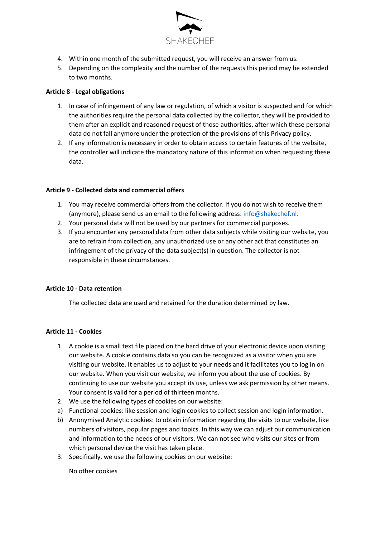

- 4. Within one month of the submitted request, you will receive an answer from us.
- 5. Depending on the complexity and the number of the requests this period may be extended to two months.

### **Article 8 - Legal obligations**

- 1. In case of infringement of any law or regulation, of which a visitor is suspected and for which the authorities require the personal data collected by the collector, they will be provided to them after an explicit and reasoned request of those authorities, after which these personal data do not fall anymore under the protection of the provisions of this Privacy policy.
- 2. If any information is necessary in order to obtain access to certain features of the website, the controller will indicate the mandatory nature of this information when requesting these data.

### **Article 9 - Collected data and commercial offers**

- 1. You may receive commercial offers from the collector. If you do not wish to receive them (anymore), please send us an email to the following address: [info@shakechef.nl.](mailto:info@shakechef.nl)
- 2. Your personal data will not be used by our partners for commercial purposes.
- 3. If you encounter any personal data from other data subjects while visiting our website, you are to refrain from collection, any unauthorized use or any other act that constitutes an infringement of the privacy of the data subject(s) in question. The collector is not responsible in these circumstances.

#### **Article 10 - Data retention**

The collected data are used and retained for the duration determined by law.

#### **Article 11 - Cookies**

- 1. A cookie is a small text file placed on the hard drive of your electronic device upon visiting our website. A cookie contains data so you can be recognized as a visitor when you are visiting our website. It enables us to adjust to your needs and it facilitates you to log in on our website. When you visit our website, we inform you about the use of cookies. By continuing to use our website you accept its use, unless we ask permission by other means. Your consent is valid for a period of thirteen months.
- 2. We use the following types of cookies on our website:
- a) Functional cookies: like session and login cookies to collect session and login information.
- b) Anonymised Analytic cookies: to obtain information regarding the visits to our website, like numbers of visitors, popular pages and topics. In this way we can adjust our communication and information to the needs of our visitors. We can not see who visits our sites or from which personal device the visit has taken place.
- 3. Specifically, we use the following cookies on our website:

No other cookies